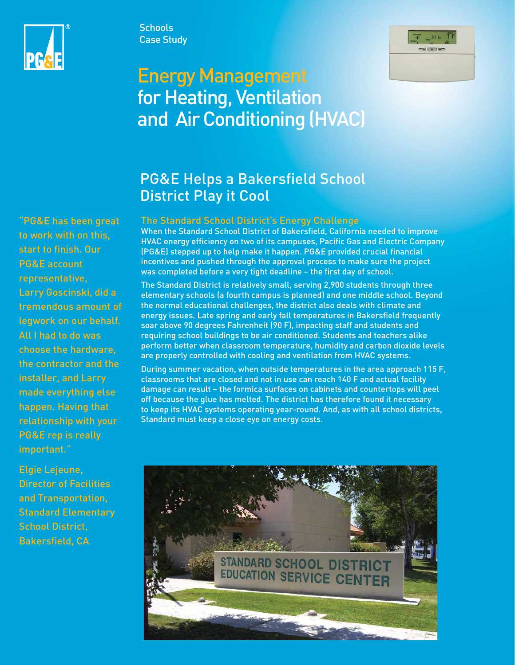



# Energy Management for Heating, Ventilation and Air Conditioning (HVAC)

**Schools** Case Study

# PG&E Helps a Bakersfield School District Play it Cool

## The Standard School District's Energy Challenge

When the Standard School District of Bakersfield, California needed to improve HVAC energy efficiency on two of its campuses, Pacific Gas and Electric Company (PG&E) stepped up to help make it happen. PG&E provided crucial financial incentives and pushed through the approval process to make sure the project was completed before a very tight deadline – the first day of school.

The Standard District is relatively small, serving 2,900 students through three elementary schools (a fourth campus is planned) and one middle school. Beyond the normal educational challenges, the district also deals with climate and energy issues. Late spring and early fall temperatures in Bakersfield frequently soar above 90 degrees Fahrenheit (90 F), impacting staff and students and requiring school buildings to be air conditioned. Students and teachers alike perform better when classroom temperature, humidity and carbon dioxide levels are properly controlled with cooling and ventilation from HVAC systems.

During summer vacation, when outside temperatures in the area approach 115 F, classrooms that are closed and not in use can reach 140 F and actual facility damage can result – the formica surfaces on cabinets and countertops will peel off because the glue has melted. The district has therefore found it necessary to keep its HVAC systems operating year-round. And, as with all school districts, Standard must keep a close eye on energy costs.



"PG&E has been great to work with on this, start to finish. Our PG&E account representative, Larry Goscinski, did a tremendous amount of legwork on our behalf. All I had to do was choose the hardware, the contractor and the installer, and Larry made everything else happen. Having that relationship with your PG&E rep is really important."

Elgie Lejeune, Director of Facilities and Transportation, Standard Elementary School District, Bakersfield, CA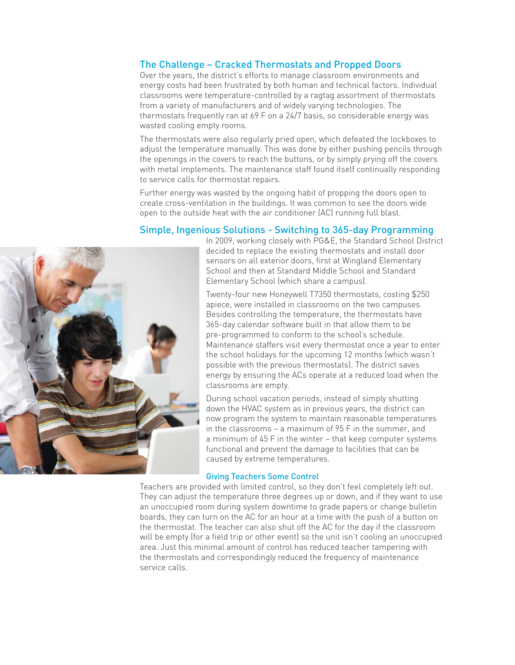# The Challenge – Cracked Thermostats and Propped Doors

Over the years, the district's efforts to manage classroom environments and energy costs had been frustrated by both human and technical factors. Individual classrooms were temperature-controlled by a ragtag assortment of thermostats from a variety of manufacturers and of widely varying technologies. The thermostats frequently ran at 69 F on a 24/7 basis, so considerable energy was wasted cooling empty rooms.

The thermostats were also regularly pried open, which defeated the lockboxes to adjust the temperature manually. This was done by either pushing pencils through the openings in the covers to reach the buttons, or by simply prying off the covers with metal implements. The maintenance staff found itself continually responding to service calls for thermostat repairs.

Further energy was wasted by the ongoing habit of propping the doors open to create cross-ventilation in the buildings. It was common to see the doors wide open to the outside heat with the air conditioner (AC) running full blast.

### Simple, Ingenious Solutions - Switching to 365-day Programming



In 2009, working closely with PG&E, the Standard School District decided to replace the existing thermostats and install door sensors on all exterior doors, first at Wingland Elementary School and then at Standard Middle School and Standard Elementary School (which share a campus).

Twenty-four new Honeywell T7350 thermostats, costing \$250 apiece, were installed in classrooms on the two campuses. Besides controlling the temperature, the thermostats have 365-day calendar software built in that allow them to be pre-programmed to conform to the school's schedule. Maintenance staffers visit every thermostat once a year to enter the school holidays for the upcoming 12 months (which wasn't possible with the previous thermostats). The district saves energy by ensuring the ACs operate at a reduced load when the classrooms are empty.

During school vacation periods, instead of simply shutting down the HVAC system as in previous years, the district can now program the system to maintain reasonable temperatures in the classrooms – a maximum of 95 F in the summer, and a minimum of 45 F in the winter – that keep computer systems functional and prevent the damage to facilities that can be caused by extreme temperatures.

#### Giving Teachers Some Control

Teachers are provided with limited control, so they don't feel completely left out. They can adjust the temperature three degrees up or down, and if they want to use an unoccupied room during system downtime to grade papers or change bulletin boards, they can turn on the AC for an hour at a time with the push of a button on the thermostat. The teacher can also shut off the AC for the day if the classroom will be empty (for a field trip or other event) so the unit isn't cooling an unoccupied area. Just this minimal amount of control has reduced teacher tampering with the thermostats and correspondingly reduced the frequency of maintenance service calls.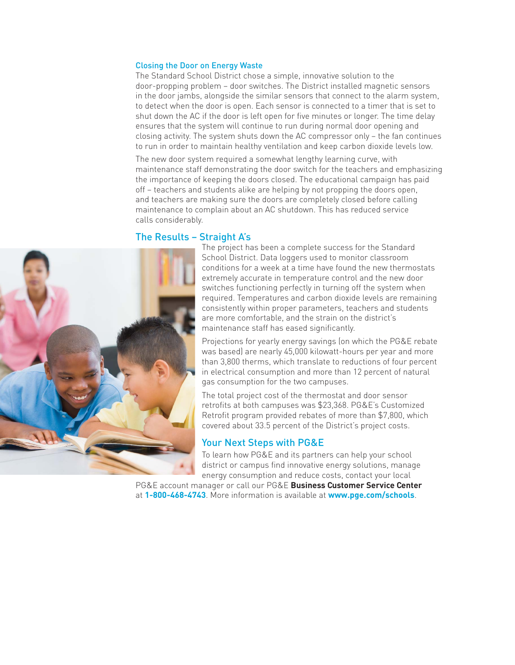#### Closing the Door on Energy Waste

The Standard School District chose a simple, innovative solution to the door-propping problem – door switches. The District installed magnetic sensors in the door jambs, alongside the similar sensors that connect to the alarm system, to detect when the door is open. Each sensor is connected to a timer that is set to shut down the AC if the door is left open for five minutes or longer. The time delay ensures that the system will continue to run during normal door opening and closing activity. The system shuts down the AC compressor only – the fan continues to run in order to maintain healthy ventilation and keep carbon dioxide levels low.

The new door system required a somewhat lengthy learning curve, with maintenance staff demonstrating the door switch for the teachers and emphasizing the importance of keeping the doors closed. The educational campaign has paid off – teachers and students alike are helping by not propping the doors open, and teachers are making sure the doors are completely closed before calling maintenance to complain about an AC shutdown. This has reduced service calls considerably.

#### The Results – Straight A's



The project has been a complete success for the Standard School District. Data loggers used to monitor classroom conditions for a week at a time have found the new thermostats extremely accurate in temperature control and the new door switches functioning perfectly in turning off the system when required. Temperatures and carbon dioxide levels are remaining consistently within proper parameters, teachers and students are more comfortable, and the strain on the district's maintenance staff has eased significantly.

Projections for yearly energy savings (on which the PG&E rebate was based) are nearly 45,000 kilowatt-hours per year and more than 3,800 therms, which translate to reductions of four percent in electrical consumption and more than 12 percent of natural gas consumption for the two campuses.

The total project cost of the thermostat and door sensor retrofits at both campuses was \$23,368. PG&E's Customized Retrofit program provided rebates of more than \$7,800, which covered about 33.5 percent of the District's project costs.

#### Your Next Steps with PG&E

To learn how PG&E and its partners can help your school district or campus find innovative energy solutions, manage energy consumption and reduce costs, contact your local

PG&E account manager or call our PG&E **Business Customer Service Center**  at **1-800-468-4743**. More information is available at **[www.pge.com/schools](http://www.pge.com/en/mybusiness/save/rebates/bybusiness/prek12.page?WT.mc_id=Vanity_schools)**.